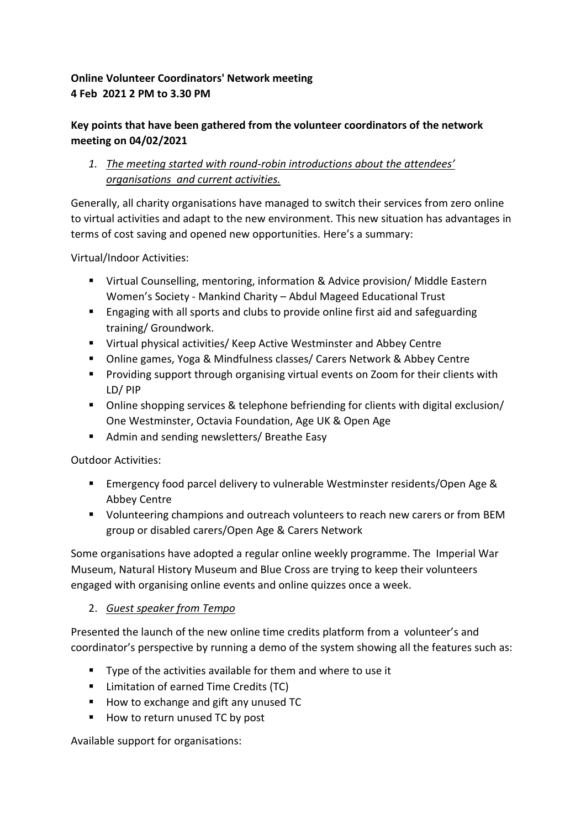## **Online Volunteer Coordinators' Network meeting 4 Feb 2021 2 PM to 3.30 PM**

## **Key points that have been gathered from the volunteer coordinators of the network meeting on 04/02/2021**

*1. The meeting started with round-robin introductions about the attendees' organisations and current activities.*

Generally, all charity organisations have managed to switch their services from zero online to virtual activities and adapt to the new environment. This new situation has advantages in terms of cost saving and opened new opportunities. Here's a summary:

Virtual/Indoor Activities:

- Virtual Counselling, mentoring, information & Advice provision/ Middle Eastern Women's Society - Mankind Charity – Abdul Mageed Educational Trust
- Engaging with all sports and clubs to provide online first aid and safeguarding training/ Groundwork.
- Virtual physical activities/ Keep Active Westminster and Abbey Centre
- Online games, Yoga & Mindfulness classes/ Carers Network & Abbey Centre
- Providing support through organising virtual events on Zoom for their clients with LD/ PIP
- Online shopping services & telephone befriending for clients with digital exclusion/ One Westminster, Octavia Foundation, Age UK & Open Age
- Admin and sending newsletters/ Breathe Easy

Outdoor Activities:

- Emergency food parcel delivery to vulnerable Westminster residents/Open Age & Abbey Centre
- Volunteering champions and outreach volunteers to reach new carers or from BEM group or disabled carers/Open Age & Carers Network

Some organisations have adopted a regular online weekly programme. The Imperial War Museum, Natural History Museum and Blue Cross are trying to keep their volunteers engaged with organising online events and online quizzes once a week.

## 2. *Guest speaker from Tempo*

Presented the launch of the new online time credits platform from a volunteer's and coordinator's perspective by running a demo of the system showing all the features such as:

- Type of the activities available for them and where to use it
- Limitation of earned Time Credits (TC)
- How to exchange and gift any unused TC
- How to return unused TC by post

Available support for organisations: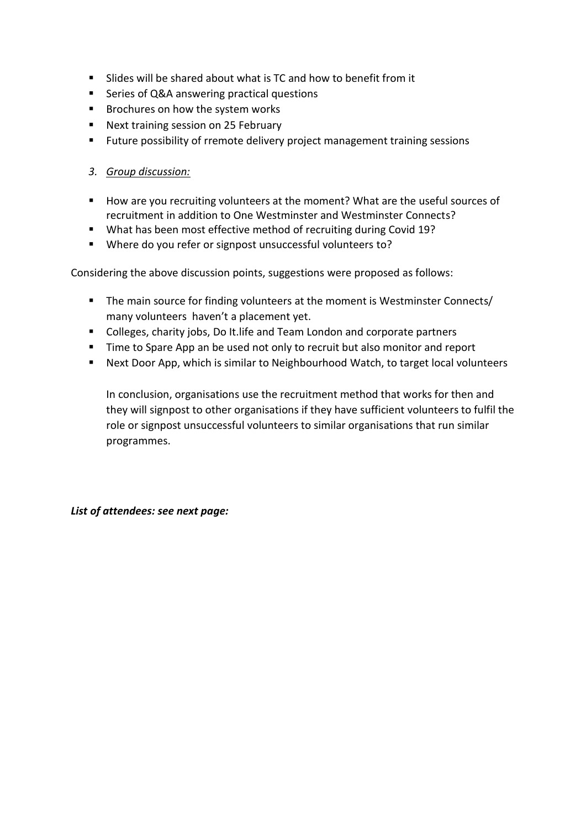- Slides will be shared about what is TC and how to benefit from it
- Series of Q&A answering practical questions
- Brochures on how the system works
- Next training session on 25 February
- Future possibility of rremote delivery project management training sessions

## *3. Group discussion:*

- How are you recruiting volunteers at the moment? What are the useful sources of recruitment in addition to One Westminster and Westminster Connects?
- What has been most effective method of recruiting during Covid 19?
- Where do you refer or signpost unsuccessful volunteers to?

Considering the above discussion points, suggestions were proposed as follows:

- The main source for finding volunteers at the moment is Westminster Connects/ many volunteers haven't a placement yet.
- Colleges, charity jobs, Do It. life and Team London and corporate partners
- Time to Spare App an be used not only to recruit but also monitor and report
- Next Door App, which is similar to Neighbourhood Watch, to target local volunteers

In conclusion, organisations use the recruitment method that works for then and they will signpost to other organisations if they have sufficient volunteers to fulfil the role or signpost unsuccessful volunteers to similar organisations that run similar programmes.

*List of attendees: see next page:*